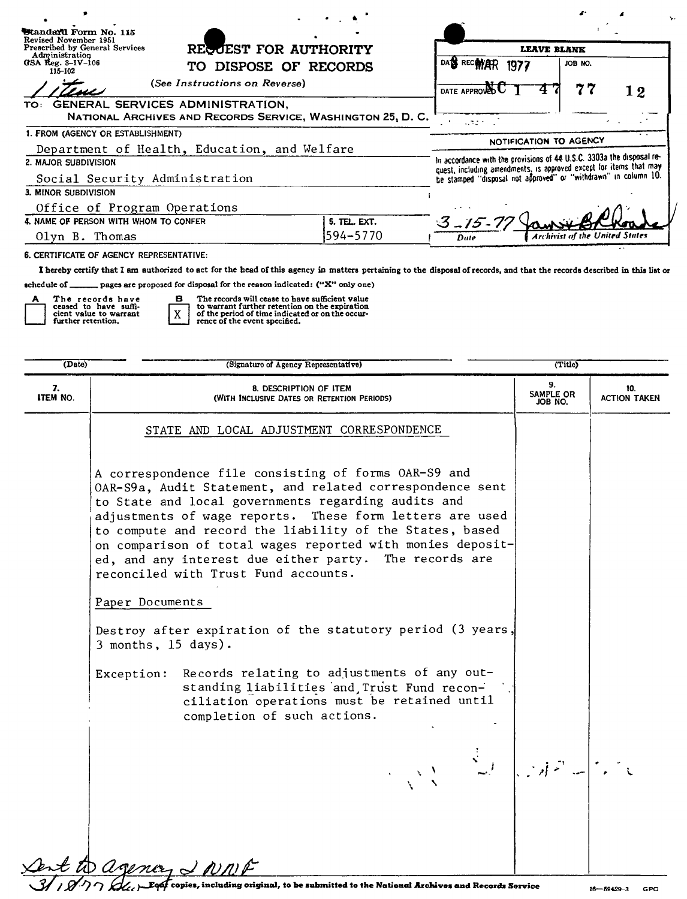| Standard Form No. 115<br>Revised November 1951   |                                                                 |                                                                                                                                             |                                       |
|--------------------------------------------------|-----------------------------------------------------------------|---------------------------------------------------------------------------------------------------------------------------------------------|---------------------------------------|
| Prescribed by General Services<br>Administration | RECOEST FOR AUTHORITY                                           | LEAVE BLANK                                                                                                                                 |                                       |
| GSA Reg. $3-IV-106$<br>115-102                   | TO DISPOSE OF RECORDS                                           | DAS RECWAR<br>1977                                                                                                                          | JOB NO.                               |
| (See Instructions on Reverse)                    |                                                                 | DATE APPROVED U                                                                                                                             | 77<br>12                              |
| TO: GENERAL SERVICES ADMINISTRATION,             | NATIONAL ARCHIVES AND RECORDS SERVICE, WASHINGTON 25, D.C.      | $4.32 - 1$                                                                                                                                  |                                       |
| 1. FROM (AGENCY OR ESTABLISHMENT)                |                                                                 | NOTIFICATION TO AGENCY                                                                                                                      |                                       |
| Department of Health, Education, and Welfare     |                                                                 |                                                                                                                                             |                                       |
| 2. MAJOR SUBDIVISION                             |                                                                 | In accordance with the provisions of 44 U.S.C. 3303a the disposal re-<br>quest, including amendments, is approved except for items that may |                                       |
| Social Security Administration                   | be stamped "disposal not approved" or "withdrawn" in column 10. |                                                                                                                                             |                                       |
| 3. MINOR SUBDIVISION                             |                                                                 |                                                                                                                                             |                                       |
| Office of Program Operations                     |                                                                 |                                                                                                                                             |                                       |
| 4. NAME OF PERSON WITH WHOM TO CONFER            | 5. TEL. EXT.                                                    | $3 - 15$                                                                                                                                    |                                       |
| Olyn B. Thomas                                   | 594–5770                                                        | Date                                                                                                                                        | <b>Archivist of the United States</b> |
| 6. CERTIFICATE OF AGENCY REPRESENTATIVE:         |                                                                 |                                                                                                                                             |                                       |

I hereby certify that I am authorized to act for the head of this agency in matters pertaining to the disposal of records, and that the records described in this list or

schedule of \_\_\_\_\_\_\_ pages are proposed for disposal for the reason indicated: ("X" only one)

 $\mathbf{B}$ 

 $\mathbf{x}$ 

The records have<br>ceased to have suffi-<br>cient value to warrant<br>further retention. A

The records will cease to have sufficient value<br>to warrant further retention on the expiration<br>of the period of time indicated or on the occur-<br>rence of the event specified,

| (Date)         | (Signature of Agency Representative)                                                                                                                                                                                                                                                                                                                                                                                                                             | (Title)                    |                            |
|----------------|------------------------------------------------------------------------------------------------------------------------------------------------------------------------------------------------------------------------------------------------------------------------------------------------------------------------------------------------------------------------------------------------------------------------------------------------------------------|----------------------------|----------------------------|
| 7.<br>ITEM NO. | 8. DESCRIPTION OF ITEM<br>(WITH INCLUSIVE DATES OR RETENTION PERIODS)                                                                                                                                                                                                                                                                                                                                                                                            | 9.<br>SAMPLE OR<br>JOB NO. | 10.<br><b>ACTION TAKEN</b> |
|                | STATE AND LOCAL ADJUSTMENT CORRESPONDENCE                                                                                                                                                                                                                                                                                                                                                                                                                        |                            |                            |
|                | A correspondence file consisting of forms OAR-S9 and<br>OAR-S9a, Audit Statement, and related correspondence sent<br>to State and local governments regarding audits and<br>adjustments of wage reports. These form letters are used<br>to compute and record the liability of the States, based<br>on comparison of total wages reported with monies deposit-<br>ed, and any interest due either party. The records are<br>reconciled with Trust Fund accounts. |                            |                            |
|                | Paper Documents                                                                                                                                                                                                                                                                                                                                                                                                                                                  |                            |                            |
|                | Destroy after expiration of the statutory period (3 years,<br>3 months, 15 days).                                                                                                                                                                                                                                                                                                                                                                                |                            |                            |
|                | Records relating to adjustments of any out-<br>Exception:<br>standing liabilities and Trust Fund recon-<br>ciliation operations must be retained until<br>completion of such actions.                                                                                                                                                                                                                                                                            |                            |                            |
|                |                                                                                                                                                                                                                                                                                                                                                                                                                                                                  |                            |                            |
|                | ant to agency & NNF                                                                                                                                                                                                                                                                                                                                                                                                                                              |                            |                            |